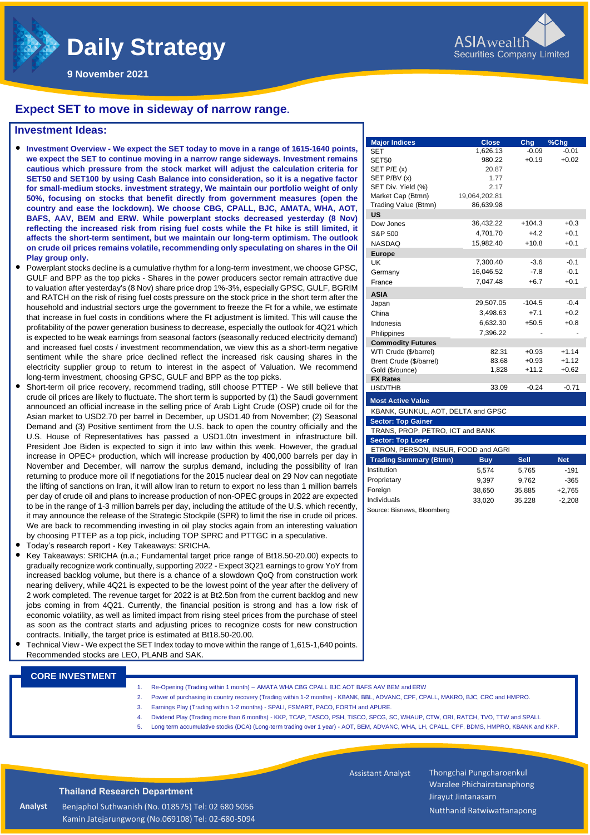

**Major Indices Close Chg %Chg** SET 1,626.13 -0.09 -0.01 SET50 980.22 +0.19 +0.02

Dow Jones 36,432.22 +104.3 +0.3<br>S&P 500 4,701.70 +4.2 +0.1 S&P 500 4,701.70 +4.2 +0.1 NASDAQ 15,982.40 +10.8 +0.1

UK 7,300.40 -3.6 -0.1 Germany 16,046.52 -7.8 -0.1 France 7.047.48 +6.7 +0.1

Japan 29,507.05 -104.5 -0.4 China 3,498.63 +7.1 +0.2 Indonesia 6,632.30  $+50.5 +0.8$ 

WTI Crude (\$/barrel) 82.31 +0.93 +1.14 Brent Crude (\$/barrel) 83.68 +0.93 +1.12 Gold (\$/ounce) 1.828 +11.2 +0.62

USD/THB 33.09 -0.24 -0.71

**Trading Summary (Btmn) Buy Sell Net** Institution 5,574 5,765 -191 Proprietary 9.397 9.762 -365 Foreign 38,650 35,885 +2,765 Individuals 33,020 35,228 -2,208

SET P/E (x) 20.87 SET P/BV (x) 1.77 SET Div. Yield (%) 2.17 Market Cap (Btmn) 19,064,202.81 Trading Value (Btmn) 86,639.98

Philippines 7,396.22

KBANK, GUNKUL, AOT, DELTA and GPSC

ETRON, PERSON, INSUR, FOOD and AGRI

TRANS, PROP, PETRO, ICT and BANK

**US**

**Europe**

**ASIA**

**FX Rates**

**Commodity Futures**

**Most Active Value**

**Sector: Top Gainer** 

**Sector: Top Loser**

Source: Bisnews, Bloomberg

**Daily Strategy** 

**9 November 2021**

### **Expect SET to move in sideway of narrow range.**

### **Investment Ideas:**

- **Investment Overview - We expect the SET today to move in a range of 1615-1640 points, we expect the SET to continue moving in a narrow range sideways. Investment remains cautious which pressure from the stock market will adjust the calculation criteria for SET50 and SET100 by using Cash Balance into consideration, so it is a negative factor for small-medium stocks. investment strategy, We maintain our portfolio weight of only 50%, focusing on stocks that benefit directly from government measures (open the country and ease the lockdown). We choose CBG, CPALL, BJC, AMATA, WHA, AOT, BAFS, AAV, BEM and ERW. While powerplant stocks decreased yesterday (8 Nov) reflecting the increased risk from rising fuel costs while the Ft hike is still limited, it affects the short-term sentiment, but we maintain our long-term optimism. The outlook on crude oil prices remains volatile, recommending only speculating on shares in the Oil Play group only.**
- Powerplant stocks decline is a cumulative rhythm for a long-term investment, we choose GPSC, GULF and BPP as the top picks - Shares in the power producers sector remain attractive due to valuation after yesterday's (8 Nov) share price drop 1%-3%, especially GPSC, GULF, BGRIM and RATCH on the risk of rising fuel costs pressure on the stock price in the short term after the household and industrial sectors urge the government to freeze the Ft for a while, we estimate that increase in fuel costs in conditions where the Ft adjustment is limited. This will cause the profitability of the power generation business to decrease, especially the outlook for 4Q21 which is expected to be weak earnings from seasonal factors (seasonally reduced electricity demand) and increased fuel costs / investment recommendation, we view this as a short-term negative sentiment while the share price declined reflect the increased risk causing shares in the electricity supplier group to return to interest in the aspect of Valuation. We recommend long-term investment, choosing GPSC, GULF and BPP as the top picks.
- Short-term oil price recovery, recommend trading, still choose PTTEP We still believe that crude oil prices are likely to fluctuate. The short term is supported by (1) the Saudi government announced an official increase in the selling price of Arab Light Crude (OSP) crude oil for the Asian market to USD2.70 per barrel in December, up USD1.40 from November; (2) Seasonal Demand and (3) Positive sentiment from the U.S. back to open the country officially and the U.S. House of Representatives has passed a USD1.0tn investment in infrastructure bill. President Joe Biden is expected to sign it into law within this week. However, the gradual increase in OPEC+ production, which will increase production by 400,000 barrels per day in November and December, will narrow the surplus demand, including the possibility of Iran returning to produce more oil If negotiations for the 2015 nuclear deal on 29 Nov can negotiate the lifting of sanctions on Iran, it will allow Iran to return to export no less than 1 million barrels per day of crude oil and plans to increase production of non-OPEC groups in 2022 are expected to be in the range of 1-3 million barrels per day, including the attitude of the U.S. which recently, it may announce the release of the Strategic Stockpile (SPR) to limit the rise in crude oil prices. We are back to recommending investing in oil play stocks again from an interesting valuation by choosing PTTEP as a top pick, including TOP SPRC and PTTGC in a speculative.
- Today's research report Key Takeaways: SRICHA.
- increased backlog volume, but there is a chance of a slowdown QoQ from construction work Key Takeaways: SRICHA (n.a.; Fundamental target price range of Bt18.50-20.00) expects to gradually recognize work continually, supporting 2022 - Expect 3Q21 earnings to grow YoY from nearing delivery, while 4Q21 is expected to be the lowest point of the year after the delivery of 2 work completed. The revenue target for 2022 is at Bt2.5bn from the current backlog and new jobs coming in from 4Q21. Currently, the financial position is strong and has a low risk of economic volatility, as well as limited impact from rising steel prices from the purchase of steel as soon as the contract starts and adjusting prices to recognize costs for new construction contracts. Initially, the target price is estimated at Bt18.50-20.00.
- Technical View We expect the SET Index today to move within the range of 1,615-1,640 points. Recommended stocks are LEO, PLANB and SAK.

#### **CORE INVESTMENT**

- 1. Re-Opening (Trading within 1 month) AMATA WHA CBG CPALL BJC AOT BAFS AAV BEM and ERW
- 2. Power of purchasing in country recovery (Trading within 1-2 months) KBANK, BBL, ADVANC, CPF, CPALL, MAKRO, BJC, CRC and HMPRO.
- 3. Earnings Play (Trading within 1-2 months) SPALI, FSMART, PACO, FORTH and APURE.
- 4. Dividend Play (Trading more than 6 months) KKP, TCAP, TASCO, PSH, TISCO, SPCG, SC, WHAUP, CTW, ORI, RATCH, TVO, TTW and SPALI.
- 5. Long term accumulative stocks (DCA) (Long-term trading over 1 year) AOT, BEM, ADVANC, WHA, LH, CPALL, CPF, BDMS, HMPRO, KBANK and KKP.

 Assistant Analyst Thongchai Pungcharoenkul Waralee Phichairatanaphong Jirayut Jintanasarn Nutthanid Ratwiwattanapong

**Thailand Research Department**

Benjaphol Suthwanish (No. 018575) Tel: 02 680 5056 Kamin Jatejarungwong (No.069108) Tel: 02-680-5094

**Analyst**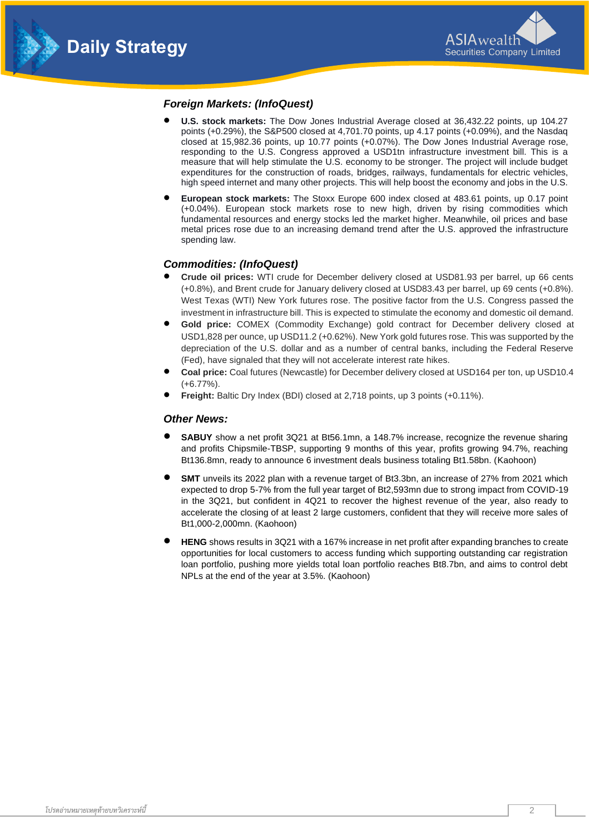



### *Foreign Markets: (InfoQuest)*

- **U.S. stock markets:** The Dow Jones Industrial Average closed at 36,432.22 points, up 104.27 points (+0.29%), the S&P500 closed at 4,701.70 points, up 4.17 points (+0.09%), and the Nasdaq closed at 15,982.36 points, up 10.77 points (+0.07%). The Dow Jones Industrial Average rose, responding to the U.S. Congress approved a USD1tn infrastructure investment bill. This is a measure that will help stimulate the U.S. economy to be stronger. The project will include budget expenditures for the construction of roads, bridges, railways, fundamentals for electric vehicles, high speed internet and many other projects. This will help boost the economy and jobs in the U.S.
- **European stock markets:** The Stoxx Europe 600 index closed at 483.61 points, up 0.17 point (+0.04%). European stock markets rose to new high, driven by rising commodities which fundamental resources and energy stocks led the market higher. Meanwhile, oil prices and base metal prices rose due to an increasing demand trend after the U.S. approved the infrastructure spending law.

### *Commodities: (InfoQuest)*

- **Crude oil prices:** WTI crude for December delivery closed at USD81.93 per barrel, up 66 cents (+0.8%), and Brent crude for January delivery closed at USD83.43 per barrel, up 69 cents (+0.8%). West Texas (WTI) New York futures rose. The positive factor from the U.S. Congress passed the investment in infrastructure bill. This is expected to stimulate the economy and domestic oil demand.
- **Gold price:** COMEX (Commodity Exchange) gold contract for December delivery closed at USD1,828 per ounce, up USD11.2 (+0.62%). New York gold futures rose. This was supported by the depreciation of the U.S. dollar and as a number of central banks, including the Federal Reserve (Fed), have signaled that they will not accelerate interest rate hikes.
- **Coal price:** Coal futures (Newcastle) for December delivery closed at USD164 per ton, up USD10.4 (+6.77%).
- **Freight:** Baltic Dry Index (BDI) closed at 2,718 points, up 3 points (+0.11%).

### *Other News:*

- **SABUY** show a net profit 3Q21 at Bt56.1mn, a 148.7% increase, recognize the revenue sharing and profits Chipsmile-TBSP, supporting 9 months of this year, profits growing 94.7%, reaching Bt136.8mn, ready to announce 6 investment deals business totaling Bt1.58bn. (Kaohoon)
- **SMT** unveils its 2022 plan with a revenue target of Bt3.3bn, an increase of 27% from 2021 which expected to drop 5-7% from the full year target of Bt2,593mn due to strong impact from COVID-19 in the 3Q21, but confident in 4Q21 to recover the highest revenue of the year, also ready to accelerate the closing of at least 2 large customers, confident that they will receive more sales of Bt1,000-2,000mn. (Kaohoon)
- **HENG** shows results in 3Q21 with a 167% increase in net profit after expanding branches to create opportunities for local customers to access funding which supporting outstanding car registration loan portfolio, pushing more yields total loan portfolio reaches Bt8.7bn, and aims to control debt NPLs at the end of the year at 3.5%. (Kaohoon)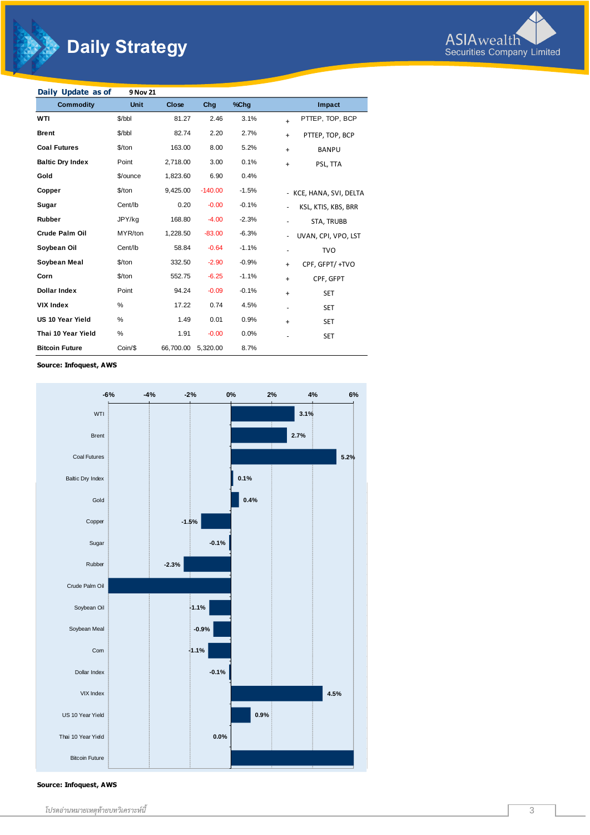# **Daily Strategy**



| Daily Update as of      | 9 Nov 21    |              |           |         |                              |
|-------------------------|-------------|--------------|-----------|---------|------------------------------|
| <b>Commodity</b>        | <b>Unit</b> | <b>Close</b> | Chg       | %Chg    | Impact                       |
| WTI                     | \$/bbl      | 81.27        | 2.46      | 3.1%    | PTTEP, TOP, BCP<br>$\ddot{}$ |
| <b>Brent</b>            | \$/bbl      | 82.74        | 2.20      | 2.7%    | PTTEP, TOP, BCP<br>$+$       |
| <b>Coal Futures</b>     | $$$ /ton    | 163.00       | 8.00      | 5.2%    | <b>BANPU</b><br>$+$          |
| <b>Baltic Dry Index</b> | Point       | 2,718.00     | 3.00      | 0.1%    | PSL, TTA<br>$+$              |
| Gold                    | \$/ounce    | 1,823.60     | 6.90      | 0.4%    |                              |
| Copper                  | \$/ton      | 9,425.00     | $-140.00$ | $-1.5%$ | - KCE, HANA, SVI, DELTA      |
| Sugar                   | Cent/lb     | 0.20         | $-0.00$   | $-0.1%$ | KSL, KTIS, KBS, BRR          |
| Rubber                  | JPY/kg      | 168.80       | $-4.00$   | $-2.3%$ | STA, TRUBB                   |
| <b>Crude Palm Oil</b>   | MYR/ton     | 1,228.50     | $-83.00$  | $-6.3%$ | UVAN, CPI, VPO, LST          |
| Soybean Oil             | Cent/lb     | 58.84        | $-0.64$   | $-1.1%$ | <b>TVO</b>                   |
| Soybean Meal            | $$$ /ton    | 332.50       | $-2.90$   | $-0.9%$ | CPF, GFPT/+TVO<br>$+$        |
| Corn                    | $$$ /ton    | 552.75       | $-6.25$   | $-1.1%$ | CPF, GFPT<br>$\ddot{}$       |
| <b>Dollar Index</b>     | Point       | 94.24        | $-0.09$   | $-0.1%$ | <b>SET</b><br>$+$            |
| <b>VIX Index</b>        | %           | 17.22        | 0.74      | 4.5%    | <b>SET</b>                   |
| <b>US 10 Year Yield</b> | %           | 1.49         | 0.01      | 0.9%    | <b>SET</b><br>$+$            |
| Thai 10 Year Yield      | %           | 1.91         | $-0.00$   | 0.0%    | <b>SET</b>                   |
| <b>Bitcoin Future</b>   | Coin/\$     | 66,700.00    | 5,320.00  | 8.7%    |                              |

**Source: Infoquest, AWS**



**Source: Infoquest, AWS**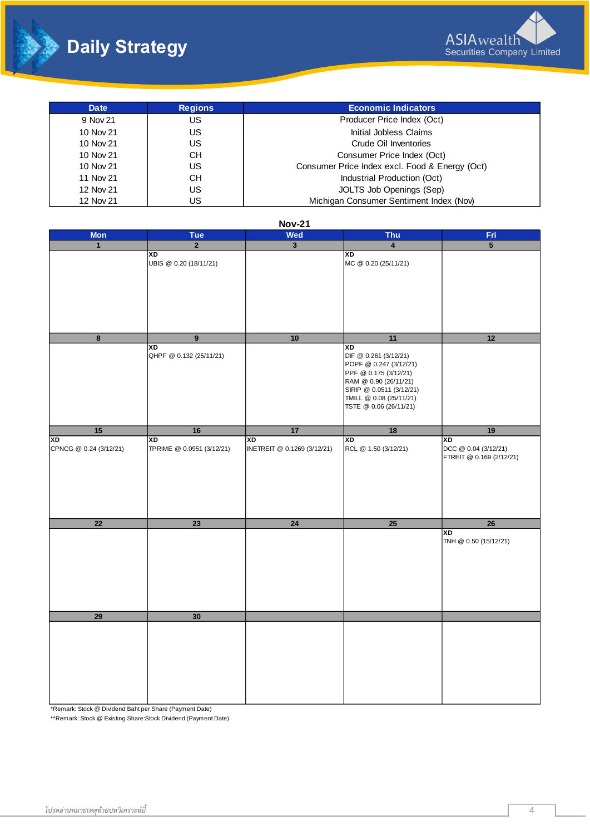



| Date      | <b>Regions</b> | <b>Economic Indicators</b>                     |
|-----------|----------------|------------------------------------------------|
| 9 Nov 21  | US             | Producer Price Index (Oct)                     |
| 10 Nov 21 | US             | Initial Jobless Claims                         |
| 10 Nov 21 | US             | Crude Oil Inventories                          |
| 10 Nov 21 | CН             | Consumer Price Index (Oct)                     |
| 10 Nov 21 | US             | Consumer Price Index excl. Food & Energy (Oct) |
| 11 Nov 21 | CН             | Industrial Production (Oct)                    |
| 12 Nov 21 | US             | JOLTS Job Openings (Sep)                       |
| 12 Nov 21 | US             | Michigan Consumer Sentiment Index (Nov)        |

|                                     |                                 | <b>Nov-21</b>                     |                                                   |                             |
|-------------------------------------|---------------------------------|-----------------------------------|---------------------------------------------------|-----------------------------|
| <b>Mon</b>                          | <b>Tue</b>                      | Wed                               | Thu                                               | Fri                         |
| $\mathbf{1}$                        | $\overline{2}$                  | $\mathbf{3}$                      | $\overline{\mathbf{4}}$                           | $\overline{5}$              |
|                                     | XD<br>UBIS @ 0.20 (18/11/21)    |                                   | XD<br>MC @ 0.20 (25/11/21)                        |                             |
|                                     |                                 |                                   |                                                   |                             |
|                                     |                                 |                                   |                                                   |                             |
|                                     |                                 |                                   |                                                   |                             |
|                                     |                                 |                                   |                                                   |                             |
|                                     |                                 |                                   |                                                   |                             |
|                                     |                                 |                                   |                                                   |                             |
| $\overline{\bf 8}$                  | $\boldsymbol{9}$                | 10                                | 11                                                | 12                          |
|                                     | XD<br>QHPF @ 0.132 (25/11/21)   |                                   | XD<br>DIF @ 0.261 (3/12/21)                       |                             |
|                                     |                                 |                                   | POPF @ 0.247 (3/12/21)                            |                             |
|                                     |                                 |                                   | PPF @ 0.175 (3/12/21)                             |                             |
|                                     |                                 |                                   | RAM @ 0.90 (26/11/21)<br>SIRIP @ 0.0511 (3/12/21) |                             |
|                                     |                                 |                                   | TMILL @ 0.08 (25/11/21)                           |                             |
|                                     |                                 |                                   | TSTE @ 0.06 (26/11/21)                            |                             |
|                                     |                                 |                                   |                                                   |                             |
| 15                                  | 16                              | 17                                | 18                                                | 19                          |
| <b>XD</b><br>CPNCG @ 0.24 (3/12/21) | αx<br>TPRIME @ 0.0951 (3/12/21) | XD<br>INETREIT @ 0.1269 (3/12/21) | αx<br>RCL @ 1.50 (3/12/21)                        | αx<br>DCC @ 0.04 (3/12/21)  |
|                                     |                                 |                                   |                                                   | FTREIT @ 0.169 (2/12/21)    |
|                                     |                                 |                                   |                                                   |                             |
|                                     |                                 |                                   |                                                   |                             |
|                                     |                                 |                                   |                                                   |                             |
|                                     |                                 |                                   |                                                   |                             |
|                                     |                                 |                                   |                                                   |                             |
| $\overline{22}$                     | 23                              | 24                                | 25                                                | 26                          |
|                                     |                                 |                                   |                                                   | XD<br>TNH @ 0.50 (15/12/21) |
|                                     |                                 |                                   |                                                   |                             |
|                                     |                                 |                                   |                                                   |                             |
|                                     |                                 |                                   |                                                   |                             |
|                                     |                                 |                                   |                                                   |                             |
|                                     |                                 |                                   |                                                   |                             |
|                                     |                                 |                                   |                                                   |                             |
| 29                                  | 30                              |                                   |                                                   |                             |
|                                     |                                 |                                   |                                                   |                             |
|                                     |                                 |                                   |                                                   |                             |
|                                     |                                 |                                   |                                                   |                             |
|                                     |                                 |                                   |                                                   |                             |
|                                     |                                 |                                   |                                                   |                             |
|                                     |                                 |                                   |                                                   |                             |
|                                     |                                 |                                   |                                                   |                             |

\*Remark: Stock @ Dividend Baht per Share (Payment Date)

\*\*Remark: Stock @ Existing Share:Stock Dividend (Payment Date)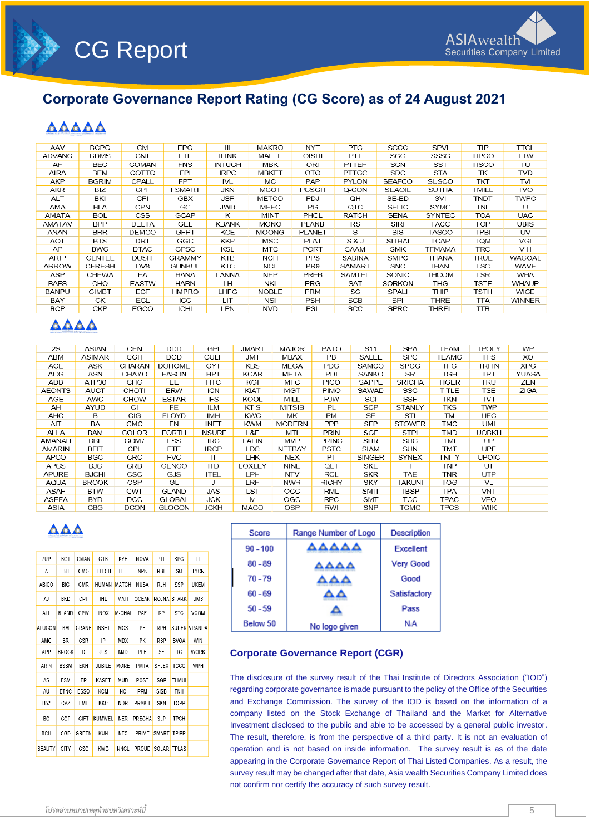

# **Corporate Governance Report Rating (CG Score) as of 24 August 2021**

# **AAAAA**

| AAV           | <b>BCPG</b>   | <b>CM</b>    | <b>EPG</b>    | Ш             | <b>MAKRO</b> | <b>NYT</b>      | <b>PTG</b>     | SCCC          | SPVI          | <b>TIP</b>   | <b>TTCL</b>   |
|---------------|---------------|--------------|---------------|---------------|--------------|-----------------|----------------|---------------|---------------|--------------|---------------|
| <b>ADVANC</b> | <b>BDMS</b>   | <b>CNT</b>   | ETE           | <b>ILINK</b>  | MALEE        | <b>OISHI</b>    | <b>PTT</b>     | SCG           | SSSC          | <b>TIPCO</b> | <b>TTW</b>    |
| AF            | <b>BEC</b>    | COMAN        | <b>FNS</b>    | <b>INTUCH</b> | MBK          | <b>ORI</b>      | PTTEP          | <b>SCN</b>    | <b>SST</b>    | <b>TISCO</b> | TU            |
| <b>AIRA</b>   | BEM           | COTTO        | <b>FPI</b>    | <b>IRPC</b>   | <b>MBKET</b> | <b>OTO</b>      | <b>PTTGC</b>   | <b>SDC</b>    | <b>STA</b>    | TK           | <b>TVD</b>    |
| AKP           | <b>BGRIM</b>  | CPALL        | <b>FPT</b>    | <b>IVL</b>    | MC.          | PAP             | <b>PYLON</b>   | <b>SEAFCO</b> | <b>SUSCO</b>  | TKT          | TVI           |
| AKR           | BIZ           | CPF          | <b>FSMART</b> | JKN           | <b>MCOT</b>  | <b>PCSGH</b>    | Q-CON          | <b>SEAOIL</b> | <b>SUTHA</b>  | TMILL        | <b>TVO</b>    |
| <b>ALT</b>    | BKI           | CPI          | GBX           | JSP           | <b>METCO</b> | <b>PDJ</b>      | QH             | SE-ED         | SVI           | <b>TNDT</b>  | <b>TWPC</b>   |
| AMA           | <b>BLA</b>    | <b>CPN</b>   | GC            | <b>JWD</b>    | <b>MFEC</b>  | PG              | QTC            | <b>SELIC</b>  | <b>SYMC</b>   | TNL          | U             |
| AMATA         | <b>BOL</b>    | CSS          | GCAP          | ĸ             | <b>MINT</b>  | PHOL            | <b>RATCH</b>   | <b>SENA</b>   | <b>SYNTEC</b> | <b>TOA</b>   | <b>UAC</b>    |
| AMATAV        | <b>BPP</b>    | <b>DELTA</b> | GEL           | <b>KBANK</b>  | <b>MONO</b>  | <b>PLANB</b>    | <b>RS</b>      | <b>SIRI</b>   | TACC          | TOP          | <b>UBIS</b>   |
| <b>ANAN</b>   | BRR           | <b>DEMCO</b> | <b>GFPT</b>   | <b>KCE</b>    | <b>MOONG</b> | <b>PLANET</b>   | S              | SIS           | <b>TASCO</b>  | TPBI         | <b>UV</b>     |
| <b>AOT</b>    | <b>BTS</b>    | <b>DRT</b>   | GGC           | <b>KKP</b>    | <b>MSC</b>   | PLAT            | <b>S&amp;J</b> | <b>SITHAI</b> | <b>TCAP</b>   | <b>NQT</b>   | VGI           |
| AP            | <b>BWG</b>    | <b>DTAC</b>  | <b>GPSC</b>   | KSL           | <b>MTC</b>   | <b>PORT</b>     | <b>SAAM</b>    | <b>SMK</b>    | TFMAMA        | TRC          | VIH           |
| ARIP          | CENTEL        | <b>DUSIT</b> | <b>GRAMMY</b> | <b>KTB</b>    | <b>NCH</b>   | <b>PPS</b>      | <b>SABINA</b>  | <b>SMPC</b>   | <b>THANA</b>  | <b>TRUE</b>  | WACOAL        |
| <b>ARROW</b>  | <b>CFRESH</b> | DV8          | <b>GUNKUL</b> | KTC           | <b>NCL</b>   | PR <sub>9</sub> | <b>SAMART</b>  | <b>SNC</b>    | THANI         | TSC          | WAVE          |
| ASP           | <b>CHEWA</b>  | EA           | <b>HANA</b>   | LANNA         | <b>NEP</b>   | PREB            | SAMTEL         | SONIC         | THCOM         | TSR          | <b>WHA</b>    |
| <b>BAFS</b>   | <b>CHO</b>    | <b>EASTW</b> | <b>HARN</b>   | LH.           | NKI          | <b>PRG</b>      | <b>SAT</b>     | <b>SORKON</b> | <b>THG</b>    | <b>TSTE</b>  | WHAUP         |
| <b>BANPU</b>  | CIMBT         | <b>ECF</b>   | <b>HMPRO</b>  | LHFG          | <b>NOBLE</b> | <b>PRM</b>      | <b>SC</b>      | SPALI         | THIP          | TSTH         | <b>WICE</b>   |
| BAY           | СK            | ECL          | ICC.          | <b>LIT</b>    | NSI          | <b>PSH</b>      | <b>SCB</b>     | <b>SPI</b>    | <b>THRE</b>   | TTA          | <b>WINNER</b> |
| <b>BCP</b>    | <b>CKP</b>    | EGCO         | ICHI          | LPN           | <b>NVD</b>   | PSL             | SCC            | <b>SPRC</b>   | THREL         | TTB          |               |

## **AAAA**

| 2S            | <b>ASIAN</b> | <b>CEN</b>   | <b>DDD</b>    | GPI           | <b>JMART</b> | <b>MAJOR</b>  | <b>PATO</b>  | S <sub>11</sub> | <b>SPA</b>    | TEAM        | TPOLY        | WP         |
|---------------|--------------|--------------|---------------|---------------|--------------|---------------|--------------|-----------------|---------------|-------------|--------------|------------|
| ABM           | ASIMAR       | CGH          | <b>DOD</b>    | <b>GULF</b>   | <b>JMT</b>   | MBAX          | PB           | SALEE           | <b>SPC</b>    | TEAMG       | <b>TPS</b>   | XO         |
| ACE           | ASK          | CHARAN       | <b>DOHOME</b> | <b>GYT</b>    | <b>KBS</b>   | MEGA          | <b>PDG</b>   | SAMCO           | SPCG          | TFG         | tritn        | <b>XPG</b> |
| ACG           | ASN          | CHAYO        | <b>EASON</b>  | <b>HPT</b>    | <b>KCAR</b>  | META          | <b>PDI</b>   | <b>SANKO</b>    | SR.           | TGH         | <b>TRT</b>   | YUASA      |
| ADB           | ATP30        | <b>CHG</b>   | EE            | <b>HTC</b>    | KGI          | MFC           | <b>PICO</b>  | <b>SAPPE</b>    | <b>SRICHA</b> | TIGER       | TRU          | ZEN        |
| <b>AEONTS</b> | <b>AUCT</b>  | CHOTI        | ERW           | ICN           | KIAT         | MGT           | PIMO         | SAWAD           | <b>SSC</b>    | TITLE       | TSE          | ZIGA       |
| AGE           | AWC          | CHOW         | <b>ESTAR</b>  | <b>IFS</b>    | KOOL         | MILL          | <b>PJW</b>   | SCI             | SSF           | TKN         | TVT          |            |
| AH            | AYUD         | СI           | FE.           | <b>ILM</b>    | KTIS         | <b>MITSIB</b> | PL           | <b>SCP</b>      | <b>STANLY</b> | TKS         | <b>TWP</b>   |            |
| AHC           | B            | CIG.         | <b>FLOYD</b>  | IMH.          | <b>KWC</b>   | МK            | <b>PM</b>    | <b>SE</b>       | STI           | TM          | <b>UEC</b>   |            |
| AIT           | BA           | <b>CMC</b>   | FN            | <b>INET</b>   | <b>KWM</b>   | <b>MODERN</b> | <b>PPP</b>   | <b>SFP</b>      | <b>STOWER</b> | <b>TMC</b>  | <b>UMI</b>   |            |
| ALLA          | BAM          | <b>COLOR</b> | <b>FORTH</b>  | <b>INSURE</b> | L&E          | MTI           | <b>PRIN</b>  | SGF             | <b>STPI</b>   | TMD         | <b>UOBKH</b> |            |
| AMANAH        | BBL          | COM7         | <b>FSS</b>    | <b>IRC</b>    | LALIN        | MVP           | <b>PRINC</b> | <b>SHR</b>      | <b>SUC</b>    | TMI         | <b>UP</b>    |            |
| <b>AMARIN</b> | <b>BFIT</b>  | CPL          | FTE.          | <b>IRCP</b>   | LDC.         | <b>NETBAY</b> | <b>PSTC</b>  | <b>SIAM</b>     | <b>SUN</b>    | TMT         | <b>UPF</b>   |            |
| <b>APCO</b>   | <b>BGC</b>   | <b>CRC</b>   | <b>FVC</b>    | ΙT            | <b>LHK</b>   | <b>NEX</b>    | PT           | <b>SINGER</b>   | <b>SYNEX</b>  | TNITY       | <b>UPOIC</b> |            |
| <b>APCS</b>   | <b>BJC</b>   | CRD          | <b>GENCO</b>  | <b>ITD</b>    | LOXLEY       | <b>NINE</b>   | QLT          | <b>SKE</b>      |               | TNP         | UT           |            |
| APURE         | <b>BJCHI</b> | CSC          | <b>GJS</b>    | ITEL          | LPH          | <b>NTV</b>    | <b>RCL</b>   | <b>SKR</b>      | TAE           | TNR         | <b>UTP</b>   |            |
| AQUA          | <b>BROOK</b> | <b>CSP</b>   | GL            | J             | LRH          | <b>NWR</b>    | <b>RICHY</b> | SKY             | <b>TAKUNI</b> | TOG         | VL           |            |
| ASAP          | <b>BTW</b>   | <b>CWT</b>   | <b>GLAND</b>  | JAS           | LST          | OCC           | <b>RML</b>   | <b>SMIT</b>     | TBSP          | TPA         | <b>VNT</b>   |            |
| ASEFA         | <b>BYD</b>   | DCC          | <b>GLOBAL</b> | <b>JCK</b>    | M            | OGC           | <b>RPC</b>   | <b>SMT</b>      | TCC.          | TPAC        | <b>VPO</b>   |            |
| ASIA          | CBG          | DCON         | <b>GLOCON</b> | <b>JCKH</b>   | <b>MACO</b>  | <b>OSP</b>    | RWI          | SNP             | TCMC          | <b>TPCS</b> | <b>WIIK</b>  |            |

# **AAA**

| 7UP           | BGT          | CMAN             | GTB           | KYE          | <b>NOVA</b> | PTL          | <b>SPG</b>  | TTI          |
|---------------|--------------|------------------|---------------|--------------|-------------|--------------|-------------|--------------|
| A             | BН           | CMO              | HTECH         | LEE          | <b>NPK</b>  | RBF          | SQ          | <b>TYCN</b>  |
| ABICO         | <b>BIG</b>   | <b>CMR</b>       | HUMAN         | <b>MATCH</b> | NUSA        | RJH          | SSP         | <b>UKEM</b>  |
| AJ            | BKD          | CPT              | <b>IHL</b>    | MATI         | OCFAN       |              | ROJNA STARK | UMS          |
| ALL           | BLAND        | <b>CPW</b>       | <b>INOX</b>   | M-CHAI       | PAF         | <b>RP</b>    | <b>STC</b>  | VCOM         |
| ALUCON        | <b>BM</b>    | CRANE            | <b>INSET</b>  | MCS          | PF          | RPH          |             | SUPER VRANDA |
| AMC           | BR           | CSR              | IP            | MDX          | PK          | <b>RSP</b>   | SVOA        | WIN          |
| APP           | <b>BROCK</b> | D                | <b>JTS</b>    | <b>MJD</b>   | PLE         | SF           | TC          | WORK         |
| ARIN          | <b>BSBM</b>  | EKH              | JUBILE        | MORE         | PMTA        | SFLEX        | TCCC        | WPH          |
| AS            | <b>BSM</b>   | EP               | KASET         | MUD          | POST        | SGP          | THMU        |              |
| AU            | <b>BTNC</b>  | ESS <sub>0</sub> | <b>KCM</b>    | ΝC           | PPM         | <b>SISB</b>  | TNH         |              |
| <b>B52</b>    | CAZ          | <b>FMT</b>       | KKC           | <b>NDR</b>   | PRAKIT      | <b>SKN</b>   | TOPP        |              |
| BC            | CCP          | GIFT             | <b>KUMWEL</b> | <b>NER</b>   | PRECHA      | <b>SLP</b>   | TPCH        |              |
| <b>BCH</b>    | CGD          | <b>GREEN</b>     | <b>KUN</b>    | <b>NFC</b>   | PRIME       | <b>SMART</b> | TPIPP       |              |
| <b>BEAUTY</b> | CITY         | GSC              | <b>KWG</b>    | <b>NNCL</b>  | PROUD       | SOLAR TPLAS  |             |              |

| Score      | Range Number of Logo | <b>Description</b> |
|------------|----------------------|--------------------|
| $90 - 100$ | AAAAA                | <b>Excellent</b>   |
| $80 - 89$  | ΔΔΔ                  | Very Good          |
| $70 - 79$  |                      | Good               |
| $60 - 69$  |                      | Satisfactory       |
| $50 - 59$  |                      | Pass               |
| Below 50   | No logo given        | NA                 |

### **Corporate Governance Report (CGR)**

The disclosure of the survey result of the Thai Institute of Directors Association ("IOD") regarding corporate governance is made pursuant to the policy of the Office of the Securities and Exchange Commission. The survey of the IOD is based on the info*r*mation of a company listed on the Stock Exchange of Thailand and the Market for Alternative Investment disclosed to the public and able to be accessed by a general public investor. The result, therefore, is from the perspective of a third party. It is not an evaluation of operation and is not based on inside information. The survey result is as of the date appearing in the Corporate Governance Report of Thai Listed Companies. As a result, the survey result may be changed after that date, Asia wealth Securities Company Limited does not confirm nor certify the accuracy of such survey result.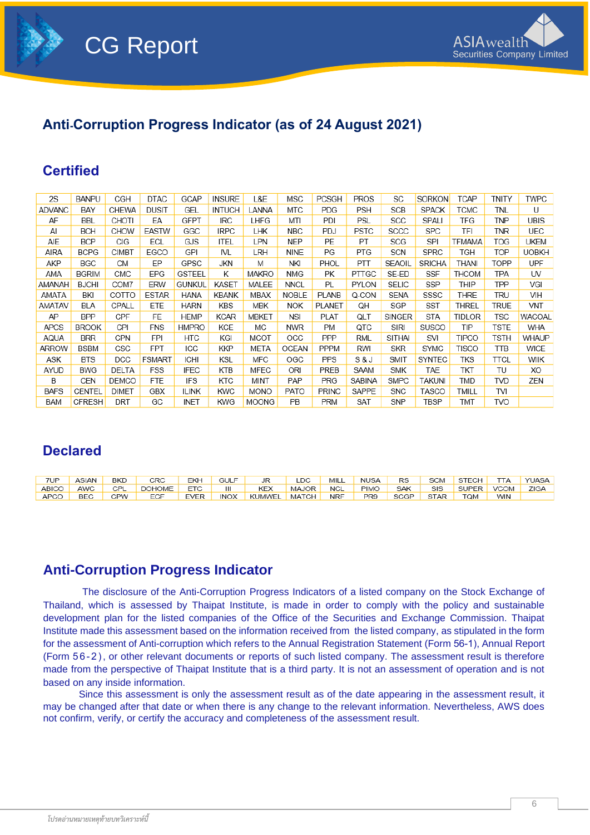

# **Anti-Corruption Progress Indicator (as of 24 August 2021)**

# **Certified**

| 2S            | <b>BANPU</b>  | CGH          | <b>DTAC</b>   | GCAP          | <b>INSURE</b> | L&E          | <b>MSC</b>   | <b>PCSGH</b>  | <b>PROS</b>  | SC            | <b>SORKON</b> | TCAP          | tnity | <b>TWPC</b>   |
|---------------|---------------|--------------|---------------|---------------|---------------|--------------|--------------|---------------|--------------|---------------|---------------|---------------|-------|---------------|
| <b>ADVANC</b> | BAY           | CHEWA        | <b>DUSIT</b>  | GEL           | <b>INTUCH</b> | LANNA        | <b>MTC</b>   | <b>PDG</b>    | <b>PSH</b>   | <b>SCB</b>    | <b>SPACK</b>  | TCMC          | TNL   | U             |
| AF            | BBL           | CHOTI        | ЕA            | GFPT          | IRC           | LHFG         | MTI          | PDI           | PSL          | SCC           | SPALI         | TFG           | TNP   | UBIS          |
| Al            | <b>BCH</b>    | <b>CHOW</b>  | EASTW         | GGC           | <b>IRPC</b>   | LHK          | <b>NBC</b>   | <b>PDJ</b>    | <b>PSTC</b>  | SCCC          | <b>SPC</b>    | TFI           | TNR   | UEC           |
| AIE           | <b>BCP</b>    | CIG          | ECL           | GJS           | ITEL          | LPN          | <b>NEP</b>   | PE            | PT           | SCG           | SPI           | <b>TFMAMA</b> | TOG   | <b>UKEM</b>   |
| AIRA          | <b>BCPG</b>   | CIMBT        | <b>EGCO</b>   | GPI           | IVL           | LRH          | <b>NINE</b>  | PG            | PTG          | SCN           | <b>SPRC</b>   | TGH           | TOP   | <b>UOBKH</b>  |
| AKP           | <b>BGC</b>    | СM           | EP            | GPSC          | <b>JKN</b>    | M            | NKI          | PHOL          | PTT          | <b>SEAOIL</b> | <b>SRICHA</b> | thani         | TOPP  | <b>UPF</b>    |
| AMA           | <b>BGRIM</b>  | CMC          | <b>EPG</b>    | <b>GSTEEL</b> | K             | <b>MAKRO</b> | <b>NMG</b>   | PК            | PTTGC        | SE-ED         | <b>SSF</b>    | THCOM         | TPA   | UV            |
| AMANAH        | <b>BJCHI</b>  | COM7         | ERW           | GUNKUL        | KASET         | MALEE        | <b>NNCL</b>  | PL            | <b>PYLON</b> | <b>SELIC</b>  | <b>SSP</b>    | THIP          | TPP   | VGI           |
| AMATA         | BKI           | COTTO        | <b>ESTAR</b>  | HANA          | <b>KBANK</b>  | MBAX         | <b>NOBLE</b> | <b>PLANB</b>  | Q-CON        | <b>SENA</b>   | SSSC          | THRE          | TRU   | VIH           |
| AMATAV        | BLA           | CPALL        | ETE           | <b>HARN</b>   | <b>KBS</b>    | MBK          | <b>NOK</b>   | <b>PLANET</b> | QH           | SGP           | <b>SST</b>    | THREL         | TRUE  | <b>VNT</b>    |
| AP            | <b>BPP</b>    | <b>CPF</b>   | <b>FE</b>     | <b>HEMP</b>   | <b>KCAR</b>   | MBKET        | <b>NSI</b>   | <b>PLAT</b>   | QLT          | <b>SINGER</b> | <b>STA</b>    | <b>TIDLOR</b> | TSC   | <b>WACOAL</b> |
| <b>APCS</b>   | <b>BROOK</b>  | CPI          | <b>FNS</b>    | HMPRO         | <b>KCE</b>    | МC           | <b>NWR</b>   | PM            | QTC          | <b>SIRI</b>   | <b>SUSCO</b>  | TIP           | TSTE  | WHA           |
| AQUA          | <b>BRR</b>    | CPN          | <b>FPI</b>    | HTC           | KGI           | MCOT         | OCC          | <b>PPP</b>    | <b>RML</b>   | SITHAI        | SVI           | TIPCO         | TSTH  | WHAUP         |
| ARROW         | BSBM          | CSC          | <b>FPT</b>    | ICC           | <b>KKP</b>    | META         | OCEAN        | <b>PPPM</b>   | RWI          | <b>SKR</b>    | <b>SYMC</b>   | TISCO         | TTB   | WICE          |
| ASK           | <b>BTS</b>    | <b>DCC</b>   | <b>FSMART</b> | ICHI          | KSL           | <b>MFC</b>   | OGC          | PPS           | S & J        | SMIT          | <b>SYNTEC</b> | TKS           | TTCL  | WIIK          |
| AYUD          | <b>BWG</b>    | DELTA        | FSS           | IFEC          | KTB           | MFEC         | ORI          | <b>PREB</b>   | SAAM         | <b>SMK</b>    | TAE           | ТКТ           | TU    | XO            |
| B             | CEN           | DEMCO        | <b>FTE</b>    | IFS           | KTC           | MINT         | PAP          | PRG           | SABINA       | <b>SMPC</b>   | TAKUNI        | TMD           | TVD   | ZEN           |
| <b>BAFS</b>   | CENTEL        | <b>DIMET</b> | GBX           | <b>ILINK</b>  | <b>KWC</b>    | <b>MONO</b>  | PATO         | <b>PRINC</b>  | <b>SAPPE</b> | <b>SNC</b>    | TASCO         | TMILL         | TVI   |               |
| <b>BAM</b>    | <b>CFRESH</b> | DRT          | GC            | INET          | <b>KWG</b>    | <b>MOONG</b> | PB           | <b>PRM</b>    | SAT          | <b>SNP</b>    | TBSP          | TMT           | TVO   |               |

# **Declared**

| 7UP    | <b>ASIAN</b> | <b>BKD</b> | CRC.   | EKH         | <b>GULF</b> | JR         | LDC.         | MILL       | NUSA            | <b>RS</b> | <b>SCM</b> | STECH      | TTA         | <b>YUASA</b> |
|--------|--------------|------------|--------|-------------|-------------|------------|--------------|------------|-----------------|-----------|------------|------------|-------------|--------------|
| ABICO, | AWC          | CPL        | DOHOME | ETC         | Ш           | <b>KEX</b> | <b>MAJOR</b> | <b>NCL</b> | <b>PIMO</b>     | SAK       | SIS        | SUPER I    | <b>VCOM</b> | ZIGA         |
| APCO   | BEC          | <b>CPW</b> | ECF    | <b>EVER</b> | <b>INOX</b> | KUMWEL     | <b>MATCH</b> | NRF        | PR <sub>9</sub> | SCGP      | STAR       | <b>TOM</b> | <b>WIN</b>  |              |

## **Anti-Corruption Progress Indicator**

The disclosure of the Anti-Corruption Progress Indicators of a listed company on the Stock Exchange of Thailand, which is assessed by Thaipat Institute, is made in order to comply with the policy and sustainable development plan for the listed companies of the Office of the Securities and Exchange Commission. Thaipat Institute made this assessment based on the information received from the listed company, as stipulated in the form for the assessment of Anti-corruption which refers to the Annual Registration Statement (Form 56-1), Annual Report (Form 5 6 - 2 ), or other relevant documents or reports of such listed company. The assessment result is therefore made from the perspective of Thaipat Institute that is a third party. It is not an assessment of operation and is not based on any inside information.

Since this assessment is only the assessment result as of the date appearing in the assessment result, it may be changed after that date or when there is any change to the relevant information. Nevertheless, AWS does not confirm, verify, or certify the accuracy and completeness of the assessment result.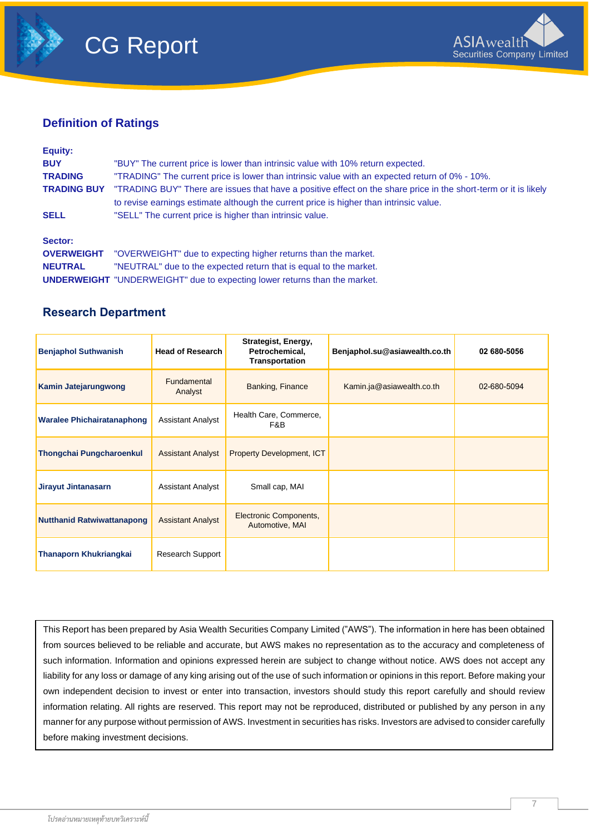



### **Definition of Ratings**

| Equity:            |                                                                                                                                                                                                           |
|--------------------|-----------------------------------------------------------------------------------------------------------------------------------------------------------------------------------------------------------|
| <b>BUY</b>         | "BUY" The current price is lower than intrinsic value with 10% return expected.                                                                                                                           |
| <b>TRADING</b>     | "TRADING" The current price is lower than intrinsic value with an expected return of 0% - 10%.                                                                                                            |
| <b>TRADING BUY</b> | "TRADING BUY" There are issues that have a positive effect on the share price in the short-term or it is likely<br>to revise earnings estimate although the current price is higher than intrinsic value. |
| <b>SELL</b>        | "SELL" The current price is higher than intrinsic value.                                                                                                                                                  |
| Sector:            |                                                                                                                                                                                                           |
| <b>OVERWEIGHT</b>  | "OVERWEIGHT" due to expecting higher returns than the market.                                                                                                                                             |
| <b>NEUTRAL</b>     | "NEUTRAL" due to the expected return that is equal to the market.                                                                                                                                         |

**UNDERWEIGHT** "UNDERWEIGHT" due to expecting lower returns than the market.

### **Research Department**

| <b>Benjaphol Suthwanish</b>       | <b>Head of Research</b>  | Strategist, Energy,<br>Petrochemical,<br><b>Transportation</b> | Benjaphol.su@asiawealth.co.th | 02 680-5056 |
|-----------------------------------|--------------------------|----------------------------------------------------------------|-------------------------------|-------------|
| Kamin Jatejarungwong              | Fundamental<br>Analyst   | Banking, Finance                                               | Kamin.ja@asiawealth.co.th     | 02-680-5094 |
| <b>Waralee Phichairatanaphong</b> | <b>Assistant Analyst</b> | Health Care, Commerce,<br>F&B                                  |                               |             |
| <b>Thongchai Pungcharoenkul</b>   | <b>Assistant Analyst</b> | Property Development, ICT                                      |                               |             |
| Jirayut Jintanasarn               | <b>Assistant Analyst</b> | Small cap, MAI                                                 |                               |             |
| <b>Nutthanid Ratwiwattanapong</b> | <b>Assistant Analyst</b> | Electronic Components,<br>Automotive, MAI                      |                               |             |
| <b>Thanaporn Khukriangkai</b>     | Research Support         |                                                                |                               |             |

This Report has been prepared by Asia Wealth Securities Company Limited ("AWS"). The information in here has been obtained from sources believed to be reliable and accurate, but AWS makes no representation as to the accuracy and completeness of such information. Information and opinions expressed herein are subject to change without notice. AWS does not accept any liability for any loss or damage of any king arising out of the use of such information or opinions in this report. Before making your own independent decision to invest or enter into transaction, investors should study this report carefully and should review information relating. All rights are reserved. This report may not be reproduced, distributed or published by any person in any manner for any purpose without permission of AWS. Investment in securities has risks. Investors are advised to consider carefully before making investment decisions.